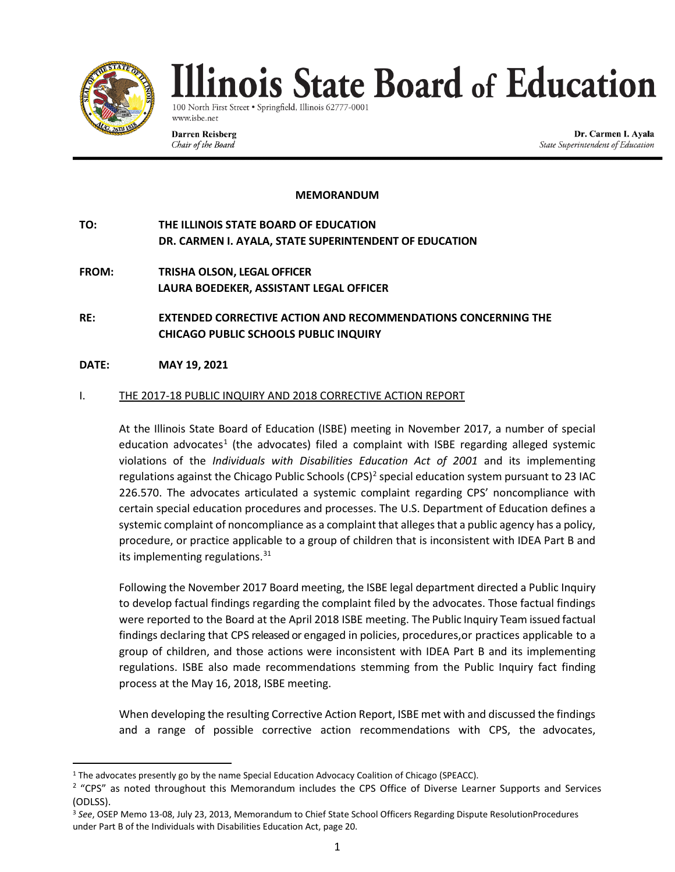

100 North First Street · Springfield, Illinois 62777-000 www.isbe.net

**Darren Reisberg** Chair of the Board

Dr. Carmen I. Ayala State Superintendent of Education

#### **MEMORANDUM**

**TO: THE ILLINOIS STATE BOARD OF EDUCATION DR. CARMEN I. AYALA, STATE SUPERINTENDENT OF EDUCATION**

- **FROM: TRISHA OLSON, LEGAL OFFICER LAURA BOEDEKER, ASSISTANT LEGAL OFFICER**
- **RE: EXTENDED CORRECTIVE ACTION AND RECOMMENDATIONS CONCERNING THE CHICAGO PUBLIC SCHOOLS PUBLIC INQUIRY**

#### **DATE: MAY 19, 2021**

#### I. THE 2017-18 PUBLIC INQUIRY AND 2018 CORRECTIVE ACTION REPORT

At the Illinois State Board of Education (ISBE) meeting in November 2017, a number of special education advocates<sup>[1](#page-0-1)</sup> (the advocates) filed a complaint with ISBE regarding alleged systemic violations of the *Individuals with Disabilities Education Act of 2001* and its implementing regulations against the Chicago Public Schools (CPS)<sup>2</sup> special education system pursuant to 23 IAC 226.570. The advocates articulated a systemic complaint regarding CPS' noncompliance with certain special education procedures and processes. The U.S. Department of Education defines a systemic complaint of noncompliance as a complaint that alleges that a public agency has a policy, procedure, or practice applicable to a group of children that is inconsistent with IDEA Part B and its implementing regulations.<sup>[3](#page-0-3)[1](#page-0-0)</sup>

Following the November 2017 Board meeting, the ISBE legal department directed a Public Inquiry to develop factual findings regarding the complaint filed by the advocates. Those factual findings were reported to the Board at the April 2018 ISBE meeting. The Public Inquiry Team issued factual findings declaring that CPS released or engaged in policies, procedures,or practices applicable to a group of children, and those actions were inconsistent with IDEA Part B and its implementing regulations. ISBE also made recommendations stemming from the Public Inquiry fact finding process at the May 16, 2018, ISBE meeting.

<span id="page-0-0"></span>When developing the resulting Corrective Action Report, ISBE met with and discussed the findings and a range of possible corrective action recommendations with CPS, the advocates,

<span id="page-0-1"></span><sup>1</sup> The advocates presently go by the name Special Education Advocacy Coalition of Chicago (SPEACC).

<span id="page-0-2"></span><sup>&</sup>lt;sup>2</sup> "CPS" as noted throughout this Memorandum includes the CPS Office of Diverse Learner Supports and Services (ODLSS).

<span id="page-0-3"></span><sup>3</sup> *See*, OSEP Memo 13-08, July 23, 2013, Memorandum to Chief State School Officers Regarding Dispute ResolutionProcedures under Part B of the Individuals with Disabilities Education Act, page 20.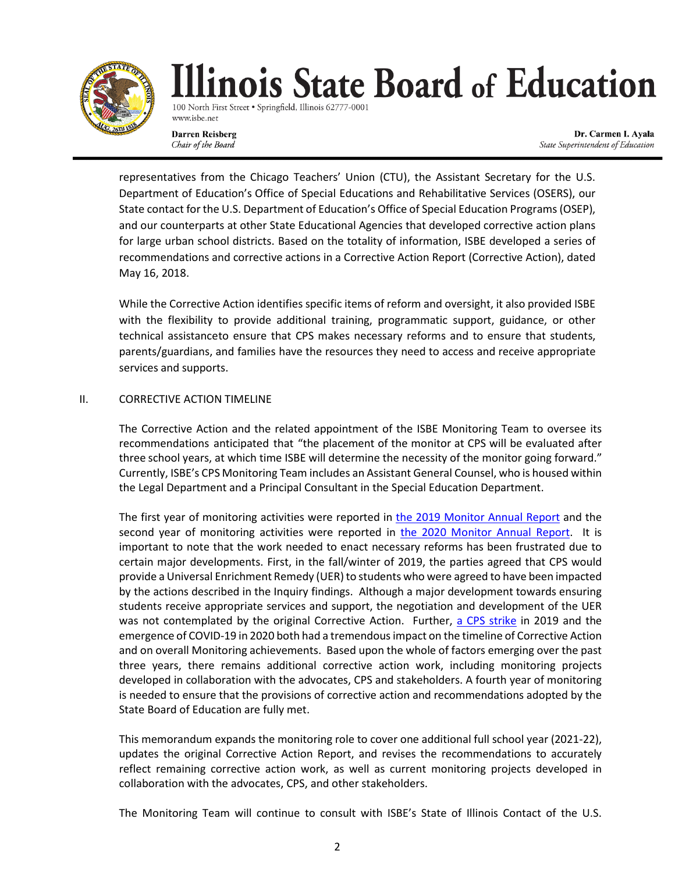

100 North First Street · Springfield, Illinois 62777-0001 www.isbe.net

**Darren Reisberg** Chair of the Board

Dr. Carmen I. Ayala State Superintendent of Education

representatives from the Chicago Teachers' Union (CTU), the Assistant Secretary for the U.S. Department of Education's Office of Special Educations and Rehabilitative Services (OSERS), our State contact for the U.S. Department of Education's Office of Special Education Programs (OSEP), and our counterparts at other State Educational Agencies that developed corrective action plans for large urban school districts. Based on the totality of information, ISBE developed a series of recommendations and corrective actions in a Corrective Action Report (Corrective Action), dated May 16, 2018.

While the Corrective Action identifies specific items of reform and oversight, it also provided ISBE with the flexibility to provide additional training, programmatic support, guidance, or other technical assistanceto ensure that CPS makes necessary reforms and to ensure that students, parents/guardians, and families have the resources they need to access and receive appropriate services and supports.

### II. CORRECTIVE ACTION TIMELINE

The Corrective Action and the related appointment of the ISBE Monitoring Team to oversee its recommendations anticipated that "the placement of the monitor at CPS will be evaluated after three school years, at which time ISBE will determine the necessity of the monitor going forward." Currently, ISBE's CPS Monitoring Team includes an Assistant General Counsel, who is housed within the Legal Department and a Principal Consultant in the Special Education Department.

The first year of monitoring activities were reported in [the 2019 Monitor Annual Report](https://www.isbe.net/Documents/Monitor-Annual-Report-20190918.pdf) and the second year of monitoring activities were reported in [the 2020 Monitor Annual Report.](https://www.isbe.net/Documents/2020-ISBE-Monitoring-Report.pdf) It is important to note that the work needed to enact necessary reforms has been frustrated due to certain major developments. First, in the fall/winter of 2019, the parties agreed that CPS would provide a Universal Enrichment Remedy (UER) to students who were agreed to have been impacted by the actions described in the Inquiry findings. Although a major development towards ensuring students receive appropriate services and support, the negotiation and development of the UER was not contemplated by the original Corrective Action. Further, [a CPS strike](https://www.cps.edu/press-releases/cps-proposes-amended-school-calendar-and-budget-for-2019-20-school-year/) in 2019 and the emergence of COVID-19 in 2020 both had a tremendous impact on the timeline of Corrective Action and on overall Monitoring achievements. Based upon the whole of factors emerging over the past three years, there remains additional corrective action work, including monitoring projects developed in collaboration with the advocates, CPS and stakeholders. A fourth year of monitoring is needed to ensure that the provisions of corrective action and recommendations adopted by the State Board of Education are fully met.

This memorandum expands the monitoring role to cover one additional full school year (2021-22), updates the original Corrective Action Report, and revises the recommendations to accurately reflect remaining corrective action work, as well as current monitoring projects developed in collaboration with the advocates, CPS, and other stakeholders.

The Monitoring Team will continue to consult with ISBE's State of Illinois Contact of the U.S.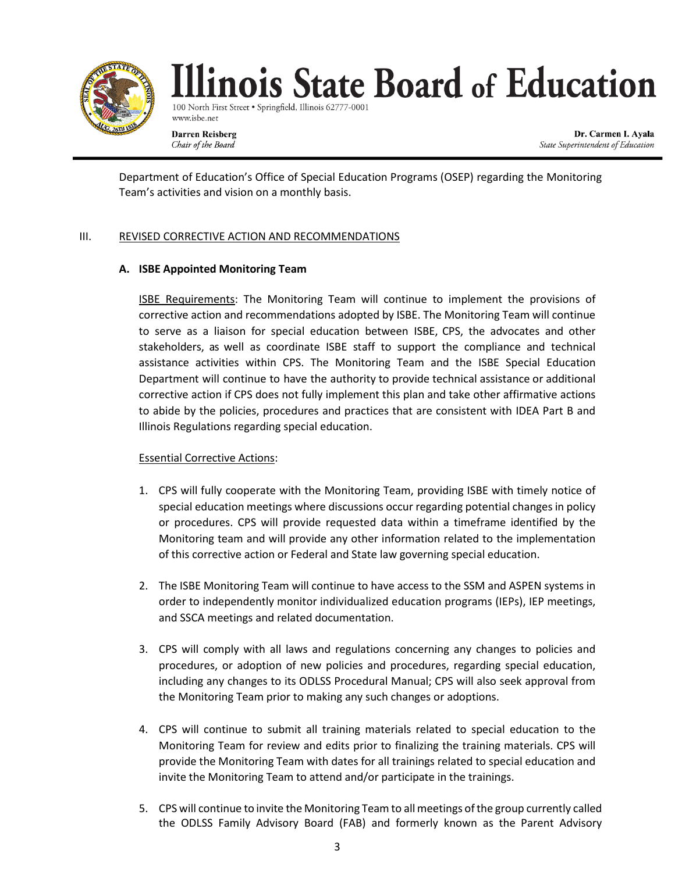

100 North First Street . Springfield, Illinois 62777-000 www.isbe.net

**Darren Reisberg** Chair of the Board

Dr. Carmen I. Ayala State Superintendent of Education

Department of Education's Office of Special Education Programs (OSEP) regarding the Monitoring Team's activities and vision on a monthly basis.

# III. REVISED CORRECTIVE ACTION AND RECOMMENDATIONS

# **A. ISBE Appointed Monitoring Team**

ISBE Requirements: The Monitoring Team will continue to implement the provisions of corrective action and recommendations adopted by ISBE. The Monitoring Team will continue to serve as a liaison for special education between ISBE, CPS, the advocates and other stakeholders, as well as coordinate ISBE staff to support the compliance and technical assistance activities within CPS. The Monitoring Team and the ISBE Special Education Department will continue to have the authority to provide technical assistance or additional corrective action if CPS does not fully implement this plan and take other affirmative actions to abide by the policies, procedures and practices that are consistent with IDEA Part B and Illinois Regulations regarding special education.

# Essential Corrective Actions:

- 1. CPS will fully cooperate with the Monitoring Team, providing ISBE with timely notice of special education meetings where discussions occur regarding potential changes in policy or procedures. CPS will provide requested data within a timeframe identified by the Monitoring team and will provide any other information related to the implementation of this corrective action or Federal and State law governing special education.
- 2. The ISBE Monitoring Team will continue to have access to the SSM and ASPEN systems in order to independently monitor individualized education programs (IEPs), IEP meetings, and SSCA meetings and related documentation.
- 3. CPS will comply with all laws and regulations concerning any changes to policies and procedures, or adoption of new policies and procedures, regarding special education, including any changes to its ODLSS Procedural Manual; CPS will also seek approval from the Monitoring Team prior to making any such changes or adoptions.
- 4. CPS will continue to submit all training materials related to special education to the Monitoring Team for review and edits prior to finalizing the training materials. CPS will provide the Monitoring Team with dates for all trainings related to special education and invite the Monitoring Team to attend and/or participate in the trainings.
- 5. CPS will continue to invite the Monitoring Team to allmeetings ofthe group currently called the ODLSS Family Advisory Board (FAB) and formerly known as the Parent Advisory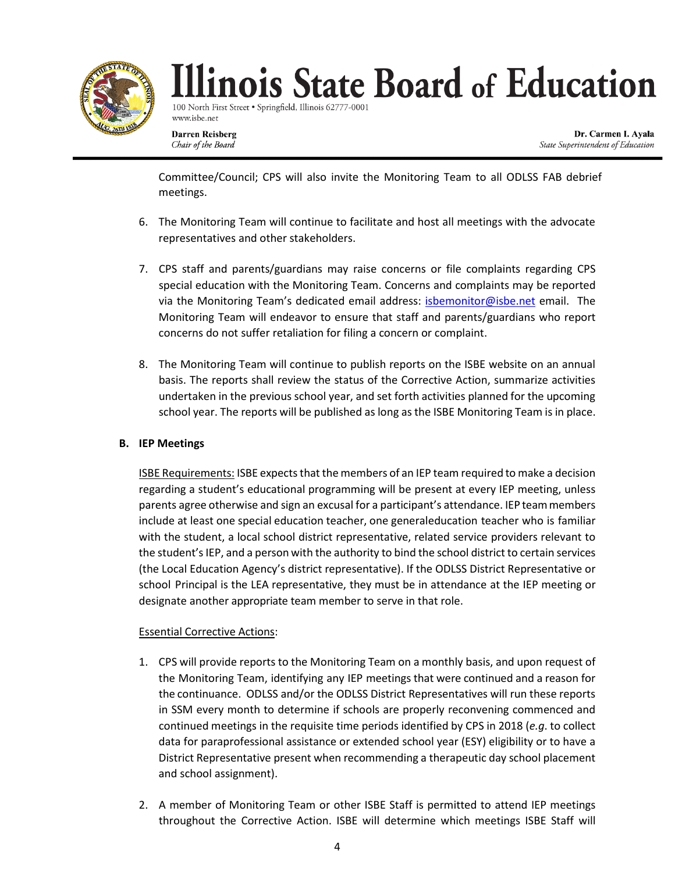

100 North First Street · Springfield, Illinois 62777-000 www.isbe.net

**Darren Reisberg** Chair of the Board

Dr. Carmen I. Ayala State Superintendent of Education

Committee/Council; CPS will also invite the Monitoring Team to all ODLSS FAB debrief meetings.

- 6. The Monitoring Team will continue to facilitate and host all meetings with the advocate representatives and other stakeholders.
- 7. CPS staff and parents/guardians may raise concerns or file complaints regarding CPS special education with the Monitoring Team. Concerns and complaints may be reported via the Monitoring Team's dedicated email address: [isbemonitor@isbe.net](mailto:isbemonitor@isbe.net) email. The Monitoring Team will endeavor to ensure that staff and parents/guardians who report concerns do not suffer retaliation for filing a concern or complaint.
- 8. The Monitoring Team will continue to publish reports on the ISBE website on an annual basis. The reports shall review the status of the Corrective Action, summarize activities undertaken in the previous school year, and set forth activities planned for the upcoming school year. The reports will be published as long as the ISBE Monitoring Team is in place.

# **B. IEP Meetings**

ISBE Requirements: ISBE expects that the members of an IEP team required to make a decision regarding a student's educational programming will be present at every IEP meeting, unless parents agree otherwise and sign an excusal for a participant's attendance. IEP teammembers include at least one special education teacher, one generaleducation teacher who is familiar with the student, a local school district representative, related service providers relevant to the student'sIEP, and a person with the authority to bind the school district to certain services (the Local Education Agency's district representative). If the ODLSS District Representative or school Principal is the LEA representative, they must be in attendance at the IEP meeting or designate another appropriate team member to serve in that role.

# Essential Corrective Actions:

- 1. CPS will provide reports to the Monitoring Team on a monthly basis, and upon request of the Monitoring Team, identifying any IEP meetings that were continued and a reason for the continuance. ODLSS and/or the ODLSS District Representatives will run these reports in SSM every month to determine if schools are properly reconvening commenced and continued meetings in the requisite time periods identified by CPS in 2018 (*e.g*. to collect data for paraprofessional assistance or extended school year (ESY) eligibility or to have a District Representative present when recommending a therapeutic day school placement and school assignment).
- 2. A member of Monitoring Team or other ISBE Staff is permitted to attend IEP meetings throughout the Corrective Action. ISBE will determine which meetings ISBE Staff will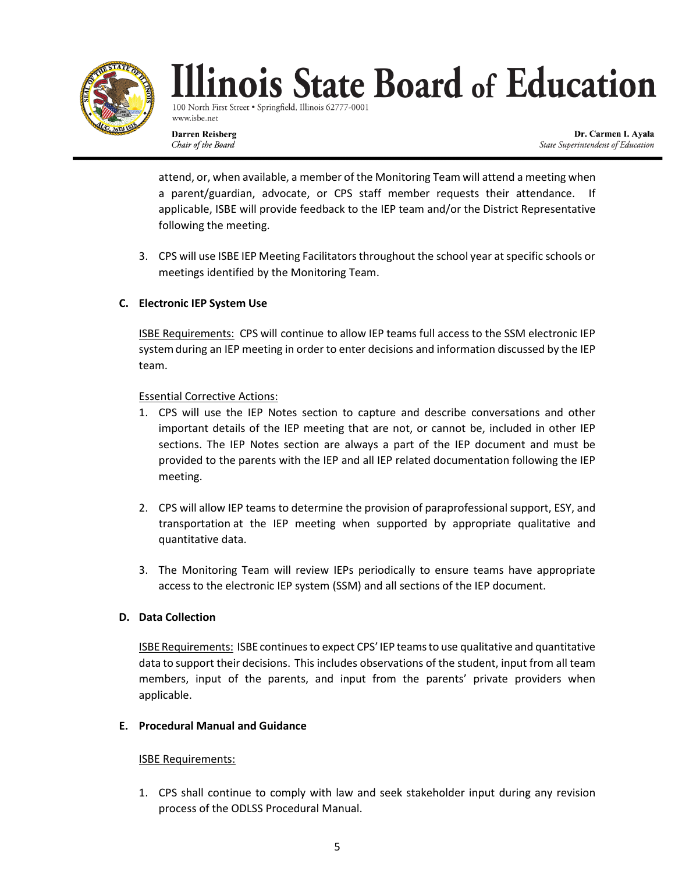

100 North First Street · Springfield, Illinois 62777-000 www.isbe.net

**Darren Reisberg** Chair of the Board

Dr. Carmen I. Ayala State Superintendent of Education

attend, or, when available, a member of the Monitoring Team will attend a meeting when a parent/guardian, advocate, or CPS staff member requests their attendance. If applicable, ISBE will provide feedback to the IEP team and/or the District Representative following the meeting.

3. CPS will use ISBE IEP Meeting Facilitators throughout the school year at specific schools or meetings identified by the Monitoring Team.

# **C. Electronic IEP System Use**

ISBE Requirements: CPS will continue to allow IEP teams full access to the SSM electronic IEP systemduring an IEP meeting in order to enter decisions and information discussed by the IEP team.

### Essential Corrective Actions:

- 1. CPS will use the IEP Notes section to capture and describe conversations and other important details of the IEP meeting that are not, or cannot be, included in other IEP sections. The IEP Notes section are always a part of the IEP document and must be provided to the parents with the IEP and all IEP related documentation following the IEP meeting.
- 2. CPS will allow IEP teams to determine the provision of paraprofessional support, ESY, and transportation at the IEP meeting when supported by appropriate qualitative and quantitative data.
- 3. The Monitoring Team will review IEPs periodically to ensure teams have appropriate access to the electronic IEP system (SSM) and all sections of the IEP document.

# **D. Data Collection**

ISBE Requirements: ISBE continues to expect CPS' IEP teamsto use qualitative and quantitative data to support their decisions. This includes observations of the student, input from all team members, input of the parents, and input from the parents' private providers when applicable.

#### **E. Procedural Manual and Guidance**

#### ISBE Requirements:

1. CPS shall continue to comply with law and seek stakeholder input during any revision process of the ODLSS Procedural Manual.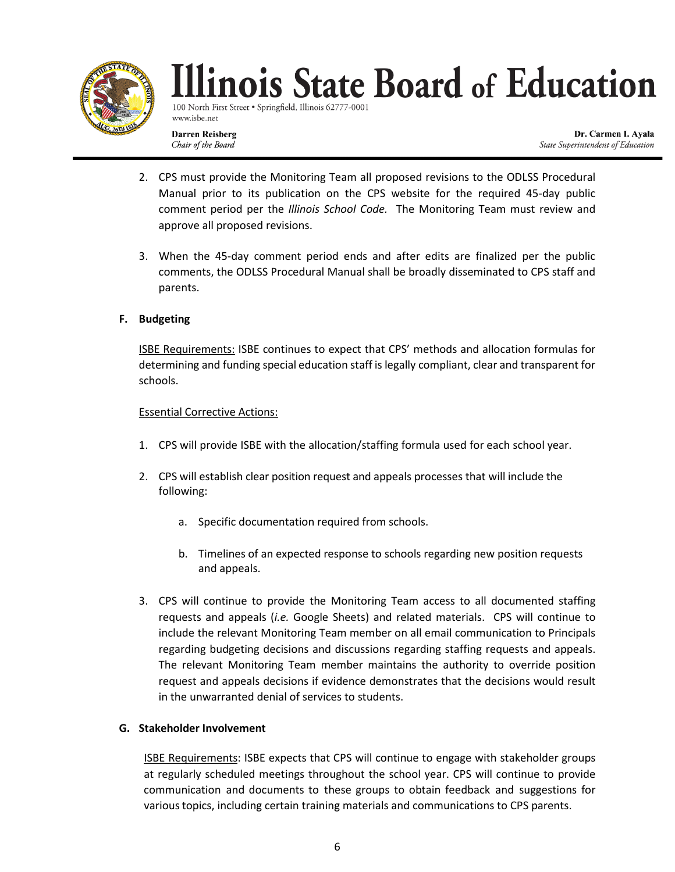

100 North First Street · Springfield, Illinois 62777-000 www.isbe.net

**Darren Reisberg** Chair of the Board

Dr. Carmen I. Ayala State Superintendent of Education

- 2. CPS must provide the Monitoring Team all proposed revisions to the ODLSS Procedural Manual prior to its publication on the CPS website for the required 45-day public comment period per the *Illinois School Code.* The Monitoring Team must review and approve all proposed revisions.
- 3. When the 45-day comment period ends and after edits are finalized per the public comments, the ODLSS Procedural Manual shall be broadly disseminated to CPS staff and parents.

# **F. Budgeting**

ISBE Requirements: ISBE continues to expect that CPS' methods and allocation formulas for determining and funding special education staff is legally compliant, clear and transparent for schools.

# Essential Corrective Actions:

- 1. CPS will provide ISBE with the allocation/staffing formula used for each school year.
- 2. CPS will establish clear position request and appeals processes that will include the following:
	- a. Specific documentation required from schools.
	- b. Timelines of an expected response to schools regarding new position requests and appeals.
- 3. CPS will continue to provide the Monitoring Team access to all documented staffing requests and appeals (*i.e.* Google Sheets) and related materials. CPS will continue to include the relevant Monitoring Team member on all email communication to Principals regarding budgeting decisions and discussions regarding staffing requests and appeals. The relevant Monitoring Team member maintains the authority to override position request and appeals decisions if evidence demonstrates that the decisions would result in the unwarranted denial of services to students.

# **G. Stakeholder Involvement**

ISBE Requirements: ISBE expects that CPS will continue to engage with stakeholder groups at regularly scheduled meetings throughout the school year. CPS will continue to provide communication and documents to these groups to obtain feedback and suggestions for various topics, including certain training materials and communications to CPS parents.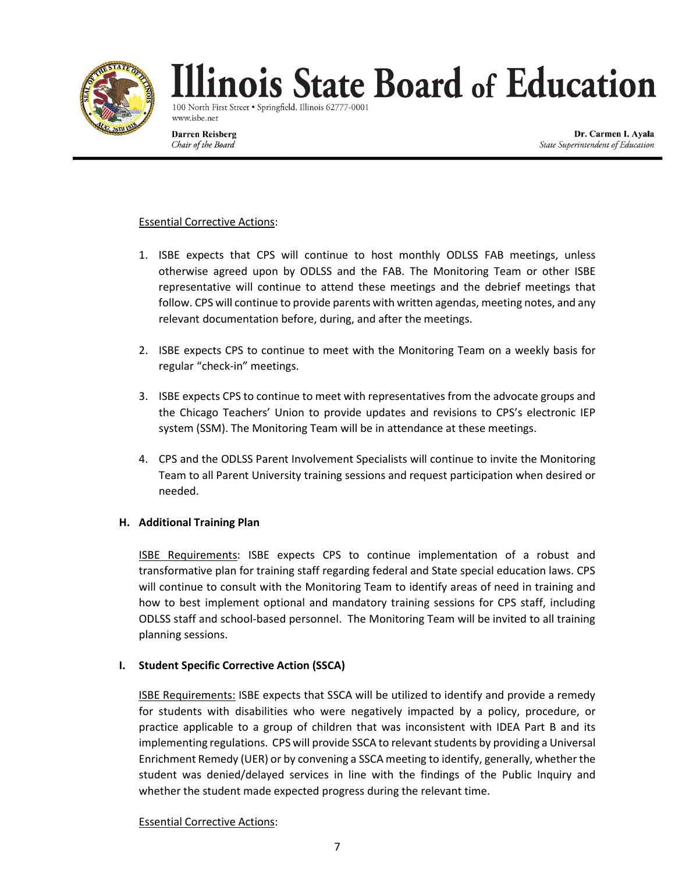

100 North First Street · Springfield, Illinois 62777-0001 www.isbe.net

**Darren Reisberg** Chair of the Board

Dr. Carmen I. Ayala State Superintendent of Education

### Essential Corrective Actions:

- 1. ISBE expects that CPS will continue to host monthly ODLSS FAB meetings, unless otherwise agreed upon by ODLSS and the FAB. The Monitoring Team or other ISBE representative will continue to attend these meetings and the debrief meetings that follow. CPS will continue to provide parents with written agendas, meeting notes, and any relevant documentation before, during, and after the meetings.
- 2. ISBE expects CPS to continue to meet with the Monitoring Team on a weekly basis for regular "check-in" meetings.
- 3. ISBE expects CPS to continue to meet with representatives from the advocate groups and the Chicago Teachers' Union to provide updates and revisions to CPS's electronic IEP system (SSM). The Monitoring Team will be in attendance at these meetings.
- 4. CPS and the ODLSS Parent Involvement Specialists will continue to invite the Monitoring Team to all Parent University training sessions and request participation when desired or needed.

#### **H. Additional Training Plan**

ISBE Requirements: ISBE expects CPS to continue implementation of a robust and transformative plan for training staff regarding federal and State special education laws. CPS will continue to consult with the Monitoring Team to identify areas of need in training and how to best implement optional and mandatory training sessions for CPS staff, including ODLSS staff and school-based personnel. The Monitoring Team will be invited to all training planning sessions.

# **I. Student Specific Corrective Action (SSCA)**

ISBE Requirements: ISBE expects that SSCA will be utilized to identify and provide a remedy for students with disabilities who were negatively impacted by a policy, procedure, or practice applicable to a group of children that was inconsistent with IDEA Part B and its implementing regulations. CPS will provide SSCA to relevant students by providing a Universal Enrichment Remedy (UER) or by convening a SSCA meeting to identify, generally, whether the student was denied/delayed services in line with the findings of the Public Inquiry and whether the student made expected progress during the relevant time.

#### Essential Corrective Actions: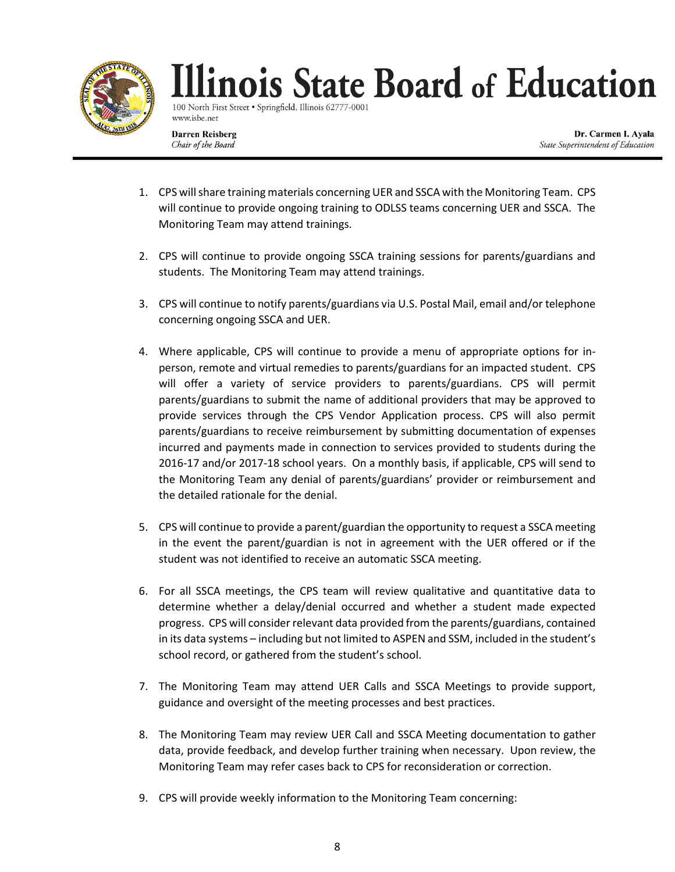

100 North First Street . Springfield, Illinois 62777-000 www.isbe.net

**Darren Reisberg** Chair of the Board

Dr. Carmen I. Ayala State Superintendent of Education

- 1. CPS will share training materials concerning UER and SSCA with the Monitoring Team. CPS will continue to provide ongoing training to ODLSS teams concerning UER and SSCA. The Monitoring Team may attend trainings.
- 2. CPS will continue to provide ongoing SSCA training sessions for parents/guardians and students. The Monitoring Team may attend trainings.
- 3. CPS will continue to notify parents/guardians via U.S. Postal Mail, email and/or telephone concerning ongoing SSCA and UER.
- 4. Where applicable, CPS will continue to provide a menu of appropriate options for inperson, remote and virtual remedies to parents/guardians for an impacted student. CPS will offer a variety of service providers to parents/guardians. CPS will permit parents/guardians to submit the name of additional providers that may be approved to provide services through the CPS Vendor Application process. CPS will also permit parents/guardians to receive reimbursement by submitting documentation of expenses incurred and payments made in connection to services provided to students during the 2016-17 and/or 2017-18 school years. On a monthly basis, if applicable, CPS will send to the Monitoring Team any denial of parents/guardians' provider or reimbursement and the detailed rationale for the denial.
- 5. CPS will continue to provide a parent/guardian the opportunity to request a SSCA meeting in the event the parent/guardian is not in agreement with the UER offered or if the student was not identified to receive an automatic SSCA meeting.
- 6. For all SSCA meetings, the CPS team will review qualitative and quantitative data to determine whether a delay/denial occurred and whether a student made expected progress. CPS will consider relevant data provided from the parents/guardians, contained in its data systems – including but not limited to ASPEN and SSM, included in the student's school record, or gathered from the student's school.
- 7. The Monitoring Team may attend UER Calls and SSCA Meetings to provide support, guidance and oversight of the meeting processes and best practices.
- 8. The Monitoring Team may review UER Call and SSCA Meeting documentation to gather data, provide feedback, and develop further training when necessary. Upon review, the Monitoring Team may refer cases back to CPS for reconsideration or correction.
- 9. CPS will provide weekly information to the Monitoring Team concerning: